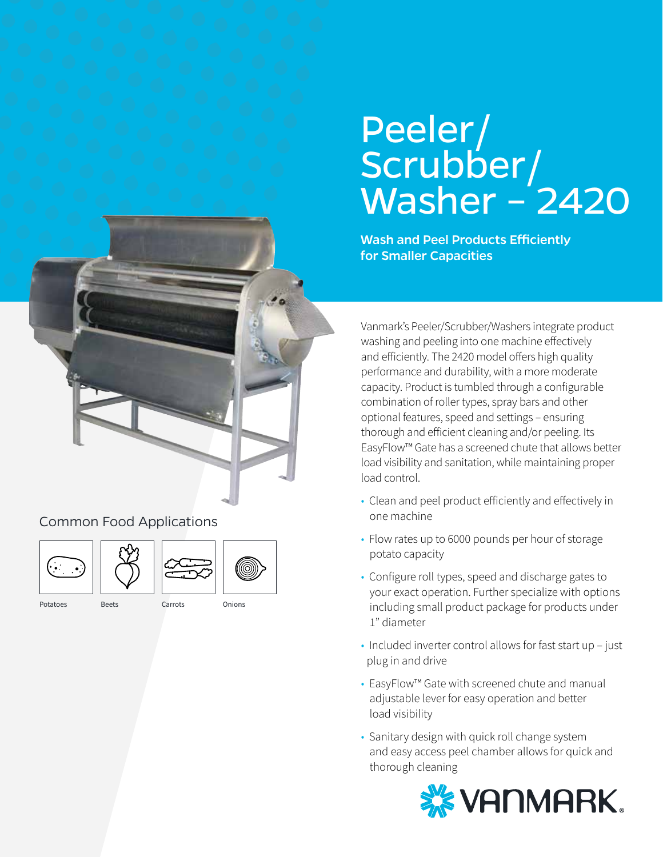# Peeler/ Scrubber/ Washer –<sup>'</sup>2420

Wash and Peel Products Efficiently for Smaller Capacities

Vanmark's Peeler/Scrubber/Washers integrate product washing and peeling into one machine effectively and efficiently. The 2420 model offers high quality performance and durability, with a more moderate capacity. Product is tumbled through a configurable combination of roller types, spray bars and other optional features, speed and settings – ensuring thorough and efficient cleaning and/or peeling. Its EasyFlow™ Gate has a screened chute that allows better load visibility and sanitation, while maintaining proper load control.

- Clean and peel product efficiently and effectively in one machine
- Flow rates up to 6000 pounds per hour of storage potato capacity
- Configure roll types, speed and discharge gates to your exact operation. Further specialize with options including small product package for products under 1" diameter
- Included inverter control allows for fast start up just plug in and drive
- EasyFlow™ Gate with screened chute and manual adjustable lever for easy operation and better load visibility
- Sanitary design with quick roll change system and easy access peel chamber allows for quick and thorough cleaning



Common Food Applications







- Potatoes Beets Carrots Onions
-